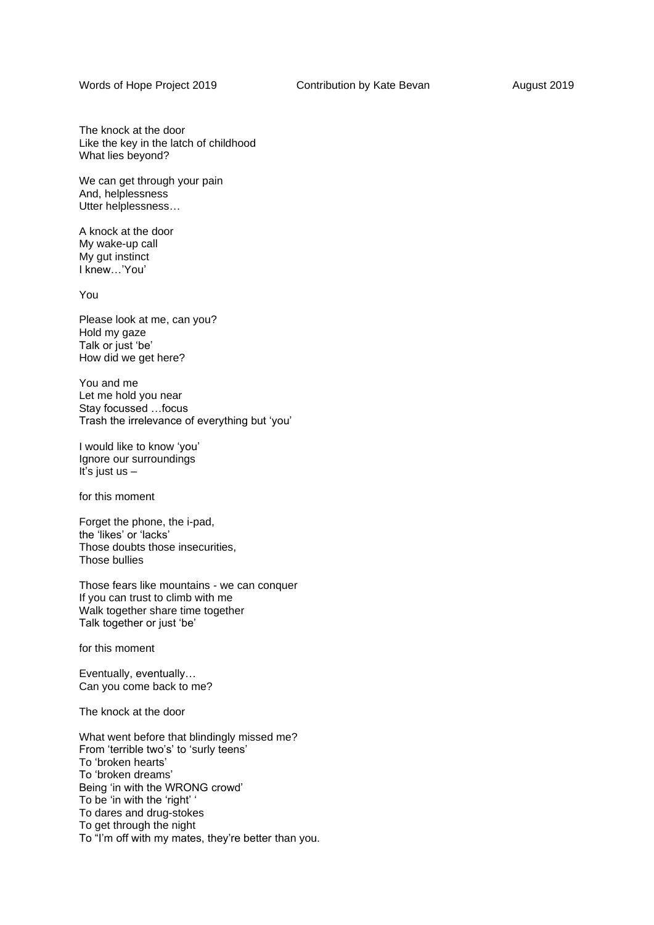Words of Hope Project 2019 **Contribution by Kate Bevan** August 2019

The knock at the door Like the key in the latch of childhood What lies beyond?

We can get through your pain And, helplessness Utter helplessness…

A knock at the door My wake-up call My gut instinct I knew…'You'

You

Please look at me, can you? Hold my gaze Talk or just 'be' How did we get here?

You and me Let me hold you near Stay focussed …focus Trash the irrelevance of everything but 'you'

I would like to know 'you' Ignore our surroundings It's just us  $-$ 

for this moment

Forget the phone, the i-pad, the 'likes' or 'lacks' Those doubts those insecurities, Those bullies

Those fears like mountains - we can conquer If you can trust to climb with me Walk together share time together Talk together or just 'be'

for this moment

Eventually, eventually… Can you come back to me?

The knock at the door

What went before that blindingly missed me? From 'terrible two's' to 'surly teens' To 'broken hearts' To 'broken dreams' Being 'in with the WRONG crowd' To be 'in with the 'right' ' To dares and drug-stokes To get through the night To "I'm off with my mates, they're better than you.